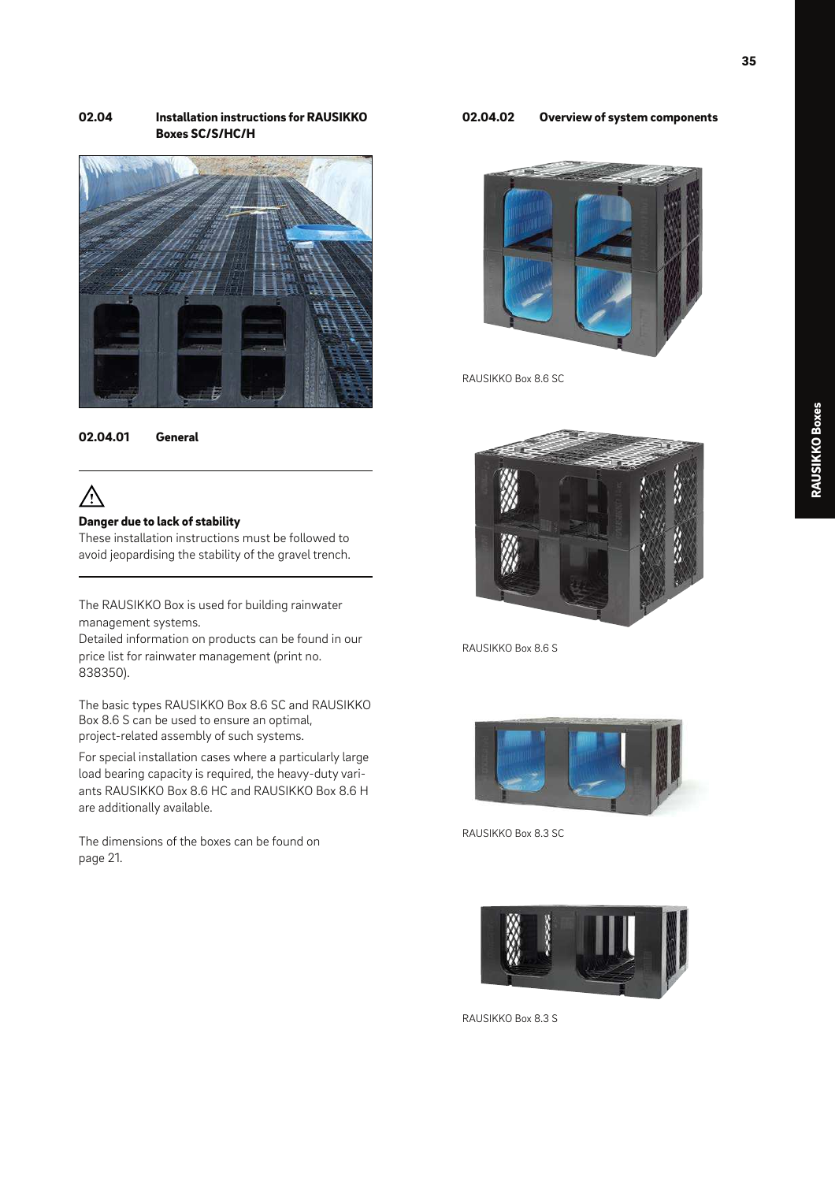## 02.04 Installation instructions for RAUSIKKO Boxes SC/S/HC/H





# $\bigwedge$

## Danger due to lack of stability

These installation instructions must be followed to avoid jeopardising the stability of the gravel trench.

The RAUSIKKO Box is used for building rainwater management systems.

Detailed information on products can be found in our price list for rainwater management (print no. 838350).

The basic types RAUSIKKO Box 8.6 SC and RAUSIKKO Box 8.6 S can be used to ensure an optimal, project-related assembly of such systems.

For special installation cases where a particularly large load bearing capacity is required, the heavy-duty variants RAUSIKKO Box 8.6 HC and RAUSIKKO Box 8.6 H are additionally available.

The dimensions of the boxes can be found on page 21.

## 02.04.02 Overview of system components



RAUSIKKO Box 8.6 SC



RAUSIKKO Box 8.6 S



RAUSIKKO Box 8.3 SC



RAUSIKKO Box 8.3 S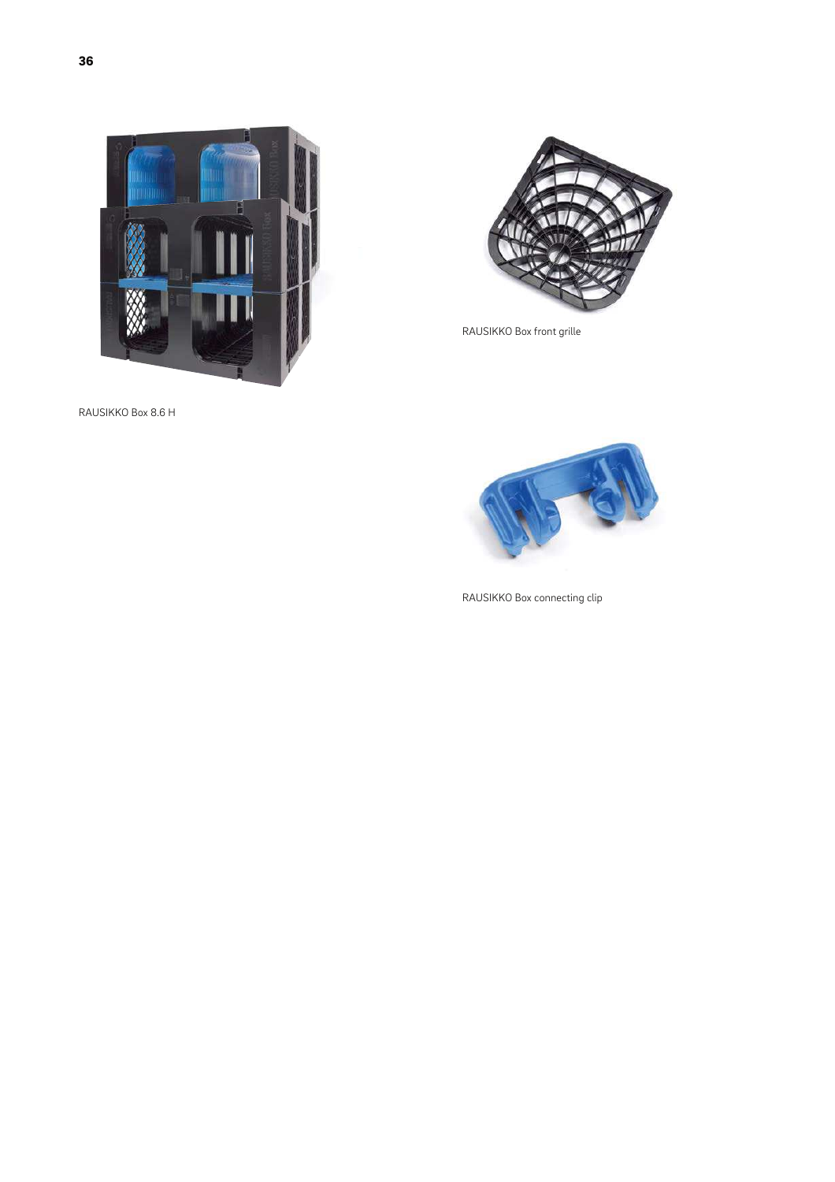

RAUSIKKO Box front grille



RAUSIKKO Box 8.6 H



RAUSIKKO Box connecting clip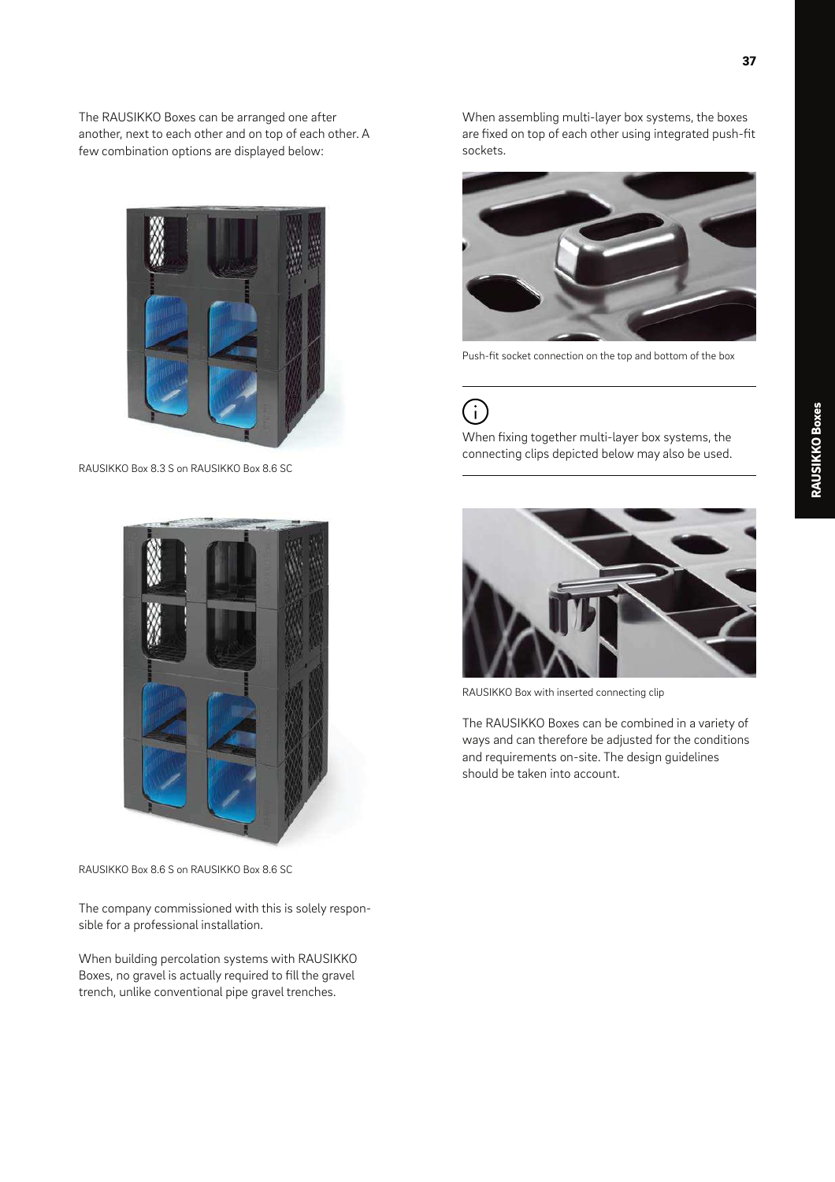The RAUSIKKO Boxes can be arranged one after another, next to each other and on top of each other. A few combination options are displayed below:



RAUSIKKO Box 8.3 S on RAUSIKKO Box 8.6 SC



RAUSIKKO Box 8.6 S on RAUSIKKO Box 8.6 SC

The company commissioned with this is solely responsible for a professional installation.

When building percolation systems with RAUSIKKO Boxes, no gravel is actually required to fill the gravel trench, unlike conventional pipe gravel trenches.

When assembling multi-layer box systems, the boxes are fixed on top of each other using integrated push-fit sockets.



Push-fit socket connection on the top and bottom of the box

# G)

When fixing together multi-layer box systems, the connecting clips depicted below may also be used.



RAUSIKKO Box with inserted connecting clip

The RAUSIKKO Boxes can be combined in a variety of ways and can therefore be adjusted for the conditions and requirements on-site. The design guidelines should be taken into account.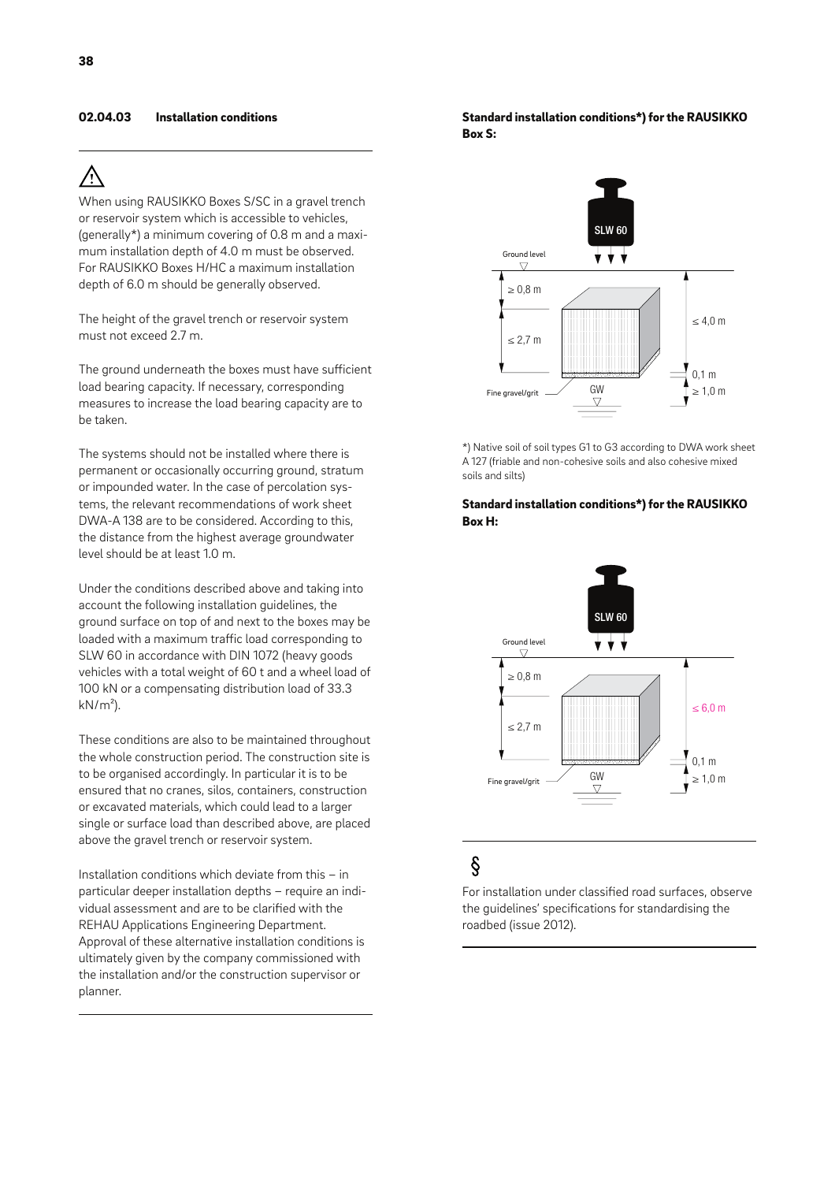## 02.04.03 Installation conditions

# Λ

When using RAUSIKKO Boxes S/SC in a gravel trench or reservoir system which is accessible to vehicles, (generally\*) a minimum covering of 0.8 m and a maximum installation depth of 4.0 m must be observed. For RAUSIKKO Boxes H/HC a maximum installation depth of 6.0 m should be generally observed.

The height of the gravel trench or reservoir system must not exceed 2.7 m.

The ground underneath the boxes must have sufficient load bearing capacity. If necessary, corresponding measures to increase the load bearing capacity are to be taken.

The systems should not be installed where there is permanent or occasionally occurring ground, stratum or impounded water. In the case of percolation systems, the relevant recommendations of work sheet DWA-A 138 are to be considered. According to this, the distance from the highest average groundwater level should be at least 1.0 m.

Under the conditions described above and taking into account the following installation guidelines, the ground surface on top of and next to the boxes may be loaded with a maximum traffic load corresponding to SLW 60 in accordance with DIN 1072 (heavy goods vehicles with a total weight of 60 t and a wheel load of 100 kN or a compensating distribution load of 33.3  $kN/m<sup>2</sup>$ ).

These conditions are also to be maintained throughout the whole construction period. The construction site is to be organised accordingly. In particular it is to be ensured that no cranes, silos, containers, construction or excavated materials, which could lead to a larger single or surface load than described above, are placed above the gravel trench or reservoir system.

Installation conditions which deviate from this – in particular deeper installation depths – require an individual assessment and are to be clarified with the REHAU Applications Engineering Department. Approval of these alternative installation conditions is ultimately given by the company commissioned with the installation and/or the construction supervisor or planner.

## Standard installation conditions\*) for the RAUSIKKO Box S:



\*) Native soil of soil types G1 to G3 according to DWA work sheet A 127 (friable and non-cohesive soils and also cohesive mixed soils and silts)

## Standard installation conditions\*) for the RAUSIKKO Box H:



## $\S$

For installation under classified road surfaces, observe the guidelines' specifications for standardising the roadbed (issue 2012).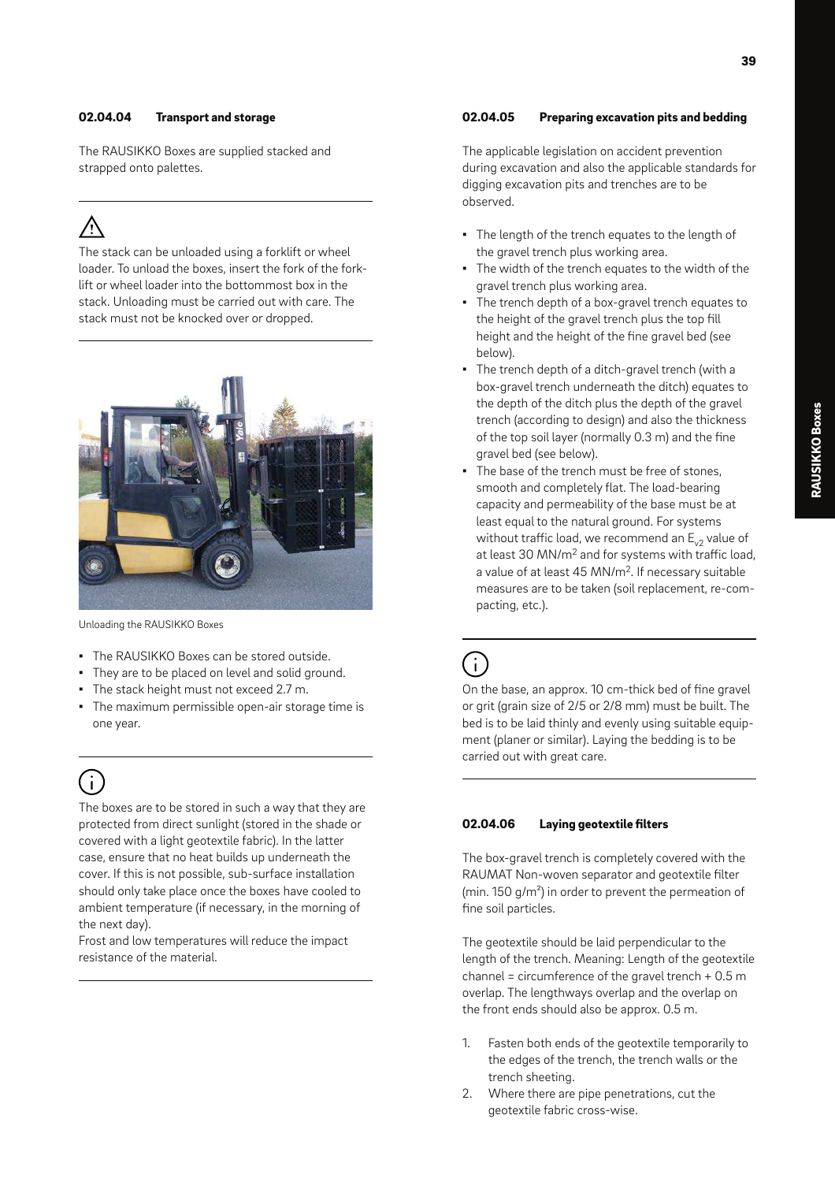## 02.04.04 Transport and storage

The RAUSIKKO Boxes are supplied stacked and strapped onto palettes.

The stack can be unloaded using a forklift or wheel loader. To unload the boxes, insert the fork of the forklift or wheel loader into the bottommost box in the stack. Unloading must be carried out with care. The stack must not be knocked over or dropped.



Unloading the RAUSIKKO Boxes

- The RAUSIKKO Boxes can be stored outside.
- They are to be placed on level and solid ground.
- The stack height must not exceed 2.7 m.
- The maximum permissible open-air storage time is one year.

# $(i)$

The boxes are to be stored in such a way that they are protected from direct sunlight (stored in the shade or covered with a light geotextile fabric). In the latter case, ensure that no heat builds up underneath the cover. If this is not possible, sub-surface installation should only take place once the boxes have cooled to ambient temperature (if necessary, in the morning of the next day).

Frost and low temperatures will reduce the impact resistance of the material.

## 02.04.05 Preparing excavation pits and bedding

The applicable legislation on accident prevention during excavation and also the applicable standards for digging excavation pits and trenches are to be observed.

- The length of the trench equates to the length of the gravel trench plus working area.
- The width of the trench equates to the width of the gravel trench plus working area.
- The trench depth of a box-gravel trench equates to the height of the gravel trench plus the top fill height and the height of the fine gravel bed (see below).
- The trench depth of a ditch-gravel trench (with a box-gravel trench underneath the ditch) equates to the depth of the ditch plus the depth of the gravel trench (according to design) and also the thickness of the top soil layer (normally 0.3 m) and the fine gravel bed (see below).
- The base of the trench must be free of stones, smooth and completely flat. The load-bearing capacity and permeability of the base must be at least equal to the natural ground. For systems without traffic load, we recommend an  $E_{v2}$  value of at least 30 MN/m<sup>2</sup> and for systems with traffic load, a value of at least 45 MN/m<sup>2</sup>. If necessary suitable measures are to be taken (soil replacement, re-compacting, etc.).

 $(i)$ 

On the base, an approx. 10 cm-thick bed of fine gravel or grit (grain size of 2/5 or 2/8 mm) must be built. The bed is to be laid thinly and evenly using suitable equipment (planer or similar). Laying the bedding is to be carried out with great care.

## 02.04.06 Laying geotextile filters

The box-gravel trench is completely covered with the RAUMAT Non-woven separator and geotextile filter (min. 150 g/m²) in order to prevent the permeation of fine soil particles.

The geotextile should be laid perpendicular to the length of the trench. Meaning: Length of the geotextile channel = circumference of the gravel trench + 0.5 m overlap. The lengthways overlap and the overlap on the front ends should also be approx. 0.5 m.

- 1. Fasten both ends of the geotextile temporarily to the edges of the trench, the trench walls or the trench sheeting.
- 2. Where there are pipe penetrations, cut the geotextile fabric cross-wise.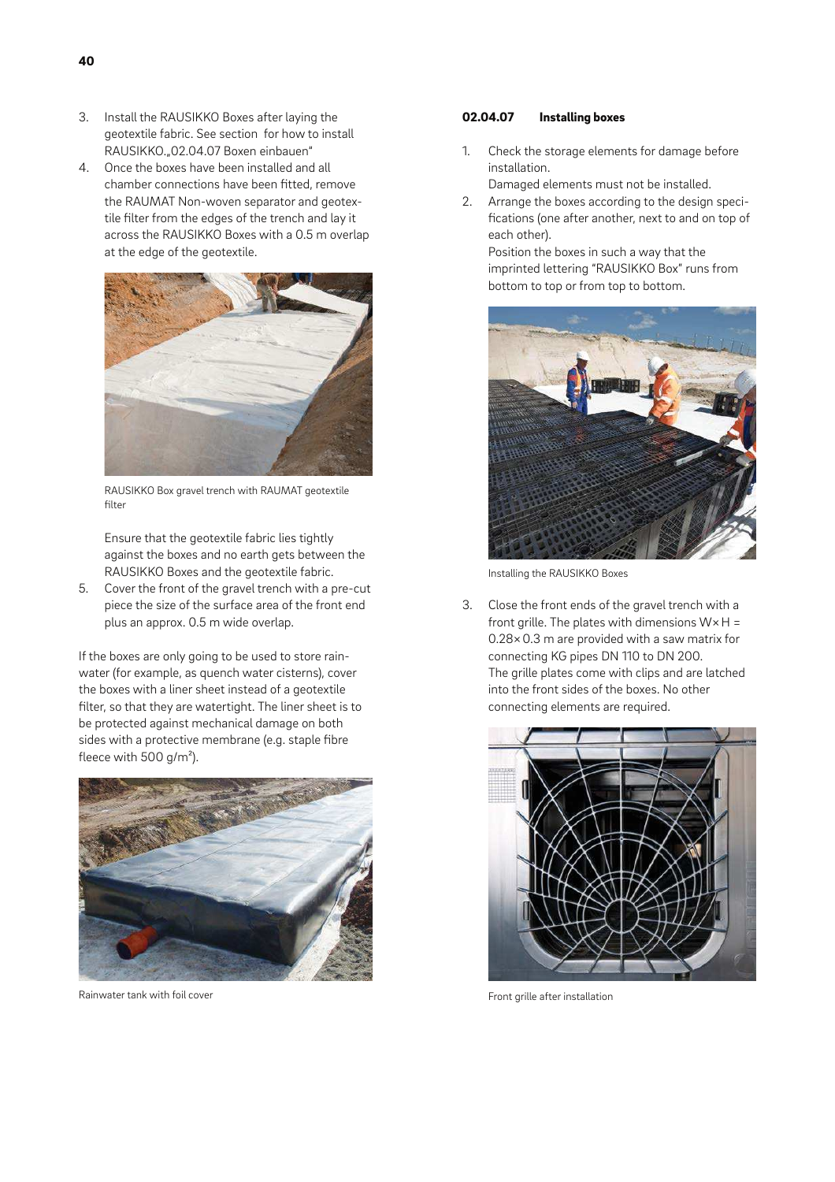- 3. Install the RAUSIKKO Boxes after laying the geotextile fabric. See section for how to install RAUSIKKO."02.04.07 Boxen einbauen"
- 4. Once the boxes have been installed and all chamber connections have been fitted, remove the RAUMAT Non-woven separator and geotextile filter from the edges of the trench and lay it across the RAUSIKKO Boxes with a 0.5 m overlap at the edge of the geotextile.



RAUSIKKO Box gravel trench with RAUMAT geotextile filter

Ensure that the geotextile fabric lies tightly against the boxes and no earth gets between the RAUSIKKO Boxes and the geotextile fabric.

5. Cover the front of the gravel trench with a pre-cut piece the size of the surface area of the front end plus an approx. 0.5 m wide overlap.

If the boxes are only going to be used to store rainwater (for example, as quench water cisterns), cover the boxes with a liner sheet instead of a geotextile filter, so that they are watertight. The liner sheet is to be protected against mechanical damage on both sides with a protective membrane (e.g. staple fibre fleece with 500 g/m²).



Rainwater tank with foil cover

## 02.04.07 Installing boxes

- 1. Check the storage elements for damage before installation.
	- Damaged elements must not be installed.
- 2. Arrange the boxes according to the design specifications (one after another, next to and on top of each other).

Position the boxes in such a way that the imprinted lettering "RAUSIKKO Box" runs from bottom to top or from top to bottom.



Installing the RAUSIKKO Boxes

3. Close the front ends of the gravel trench with a front grille. The plates with dimensions  $W \times H =$ 0.28× 0.3 m are provided with a saw matrix for connecting KG pipes DN 110 to DN 200. The grille plates come with clips and are latched into the front sides of the boxes. No other connecting elements are required.



Front grille after installation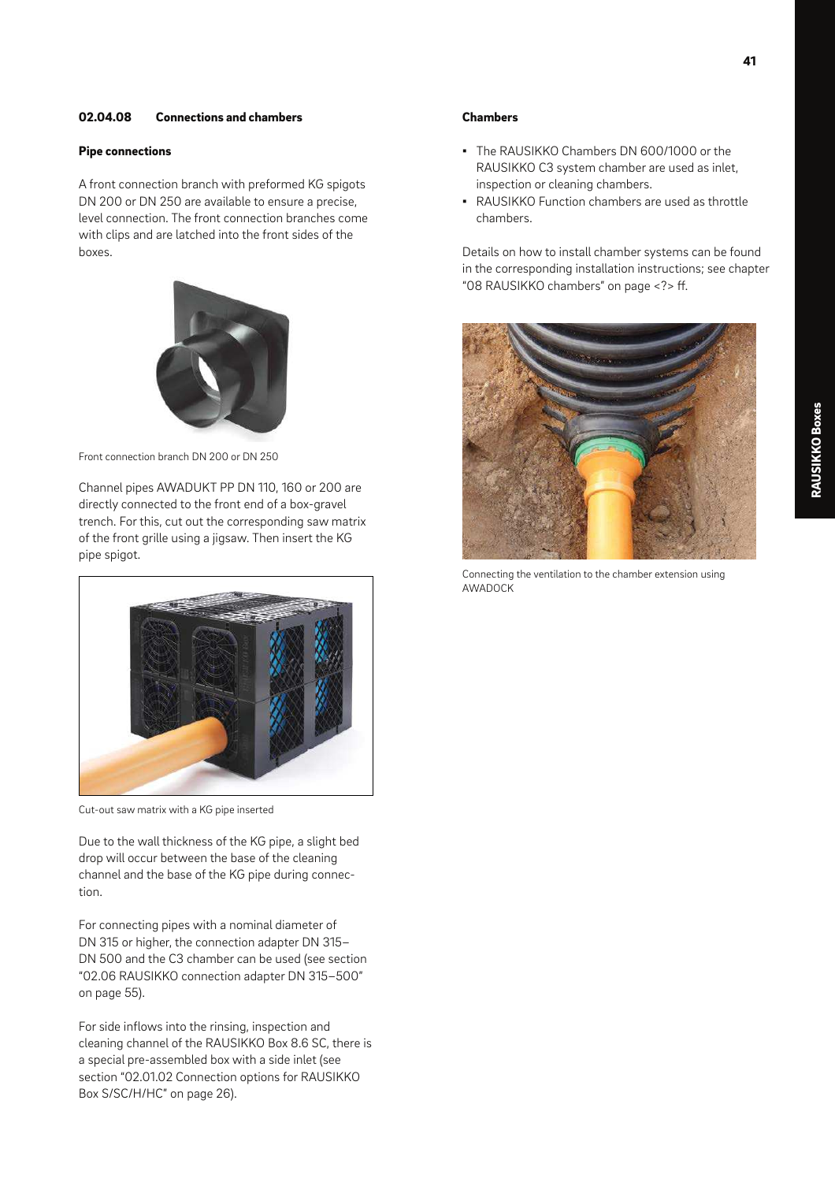## 02.04.08 Connections and chambers

### Pipe connections

A front connection branch with preformed KG spigots DN 200 or DN 250 are available to ensure a precise, level connection. The front connection branches come with clips and are latched into the front sides of the boxes.



Front connection branch DN 200 or DN 250

Channel pipes AWADUKT PP DN 110, 160 or 200 are directly connected to the front end of a box-gravel trench. For this, cut out the corresponding saw matrix of the front grille using a jigsaw. Then insert the KG pipe spigot.



Cut-out saw matrix with a KG pipe inserted

Due to the wall thickness of the KG pipe, a slight bed drop will occur between the base of the cleaning channel and the base of the KG pipe during connection.

For connecting pipes with a nominal diameter of DN 315 or higher, the connection adapter DN 315– DN 500 and the C3 chamber can be used (see section "02.06 RAUSIKKO connection adapter DN 315–500" on page 55).

For side inflows into the rinsing, inspection and cleaning channel of the RAUSIKKO Box 8.6 SC, there is a special pre-assembled box with a side inlet (see section "02.01.02 Connection options for RAUSIKKO Box S/SC/H/HC" on page 26).

## Chambers

- The RAUSIKKO Chambers DN 600/1000 or the RAUSIKKO C3 system chamber are used as inlet, inspection or cleaning chambers.
- RAUSIKKO Function chambers are used as throttle chambers.

Details on how to install chamber systems can be found in the corresponding installation instructions; see chapter "08 RAUSIKKO chambers" on page <?> ff.



Connecting the ventilation to the chamber extension using AWADOCK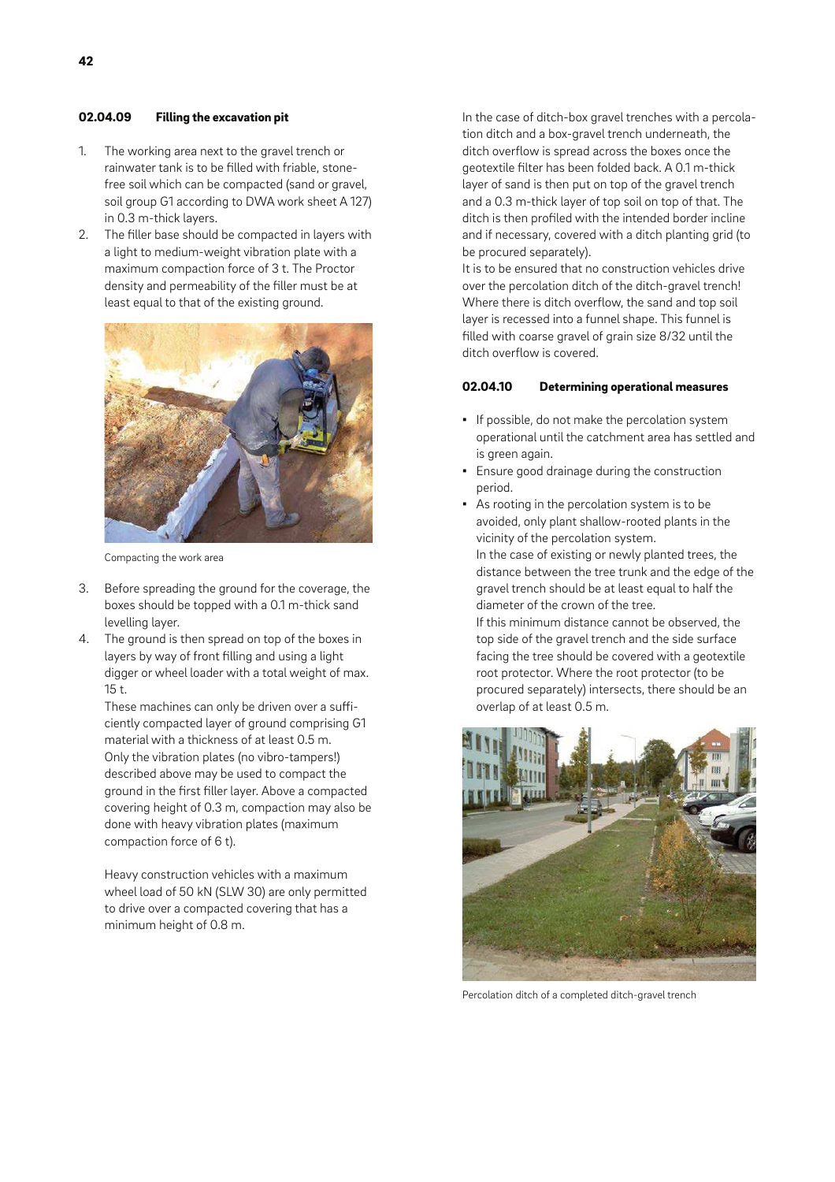## 02.04.09 Filling the excavation pit

- 1. The working area next to the gravel trench or rainwater tank is to be filled with friable, stonefree soil which can be compacted (sand or gravel, soil group G1 according to DWA work sheet A 127) in 0.3 m-thick layers.
- 2. The filler base should be compacted in layers with a light to medium-weight vibration plate with a maximum compaction force of 3 t. The Proctor density and permeability of the filler must be at least equal to that of the existing ground.



Compacting the work area

- 3. Before spreading the ground for the coverage, the boxes should be topped with a 0.1 m-thick sand levelling layer.
- 4. The ground is then spread on top of the boxes in layers by way of front filling and using a light digger or wheel loader with a total weight of max. 15 t.

These machines can only be driven over a sufficiently compacted layer of ground comprising G1 material with a thickness of at least 0.5 m. Only the vibration plates (no vibro-tampers!) described above may be used to compact the ground in the first filler layer. Above a compacted covering height of 0.3 m, compaction may also be done with heavy vibration plates (maximum compaction force of 6 t).

Heavy construction vehicles with a maximum wheel load of 50 kN (SLW 30) are only permitted to drive over a compacted covering that has a minimum height of 0.8 m.

In the case of ditch-box gravel trenches with a percolation ditch and a box-gravel trench underneath, the ditch overflow is spread across the boxes once the geotextile filter has been folded back. A 0.1 m-thick layer of sand is then put on top of the gravel trench and a 0.3 m-thick layer of top soil on top of that. The ditch is then profiled with the intended border incline and if necessary, covered with a ditch planting grid (to be procured separately).

It is to be ensured that no construction vehicles drive over the percolation ditch of the ditch-gravel trench! Where there is ditch overflow, the sand and top soil layer is recessed into a funnel shape. This funnel is filled with coarse gravel of grain size 8/32 until the ditch overflow is covered.

## 02.04.10 Determining operational measures

- **If possible, do not make the percolation system** operational until the catchment area has settled and is green again.
- **Ensure good drainage during the construction** period.
- As rooting in the percolation system is to be avoided, only plant shallow-rooted plants in the vicinity of the percolation system. In the case of existing or newly planted trees, the distance between the tree trunk and the edge of the gravel trench should be at least equal to half the diameter of the crown of the tree.

If this minimum distance cannot be observed, the top side of the gravel trench and the side surface facing the tree should be covered with a geotextile root protector. Where the root protector (to be procured separately) intersects, there should be an overlap of at least 0.5 m.



Percolation ditch of a completed ditch-gravel trench